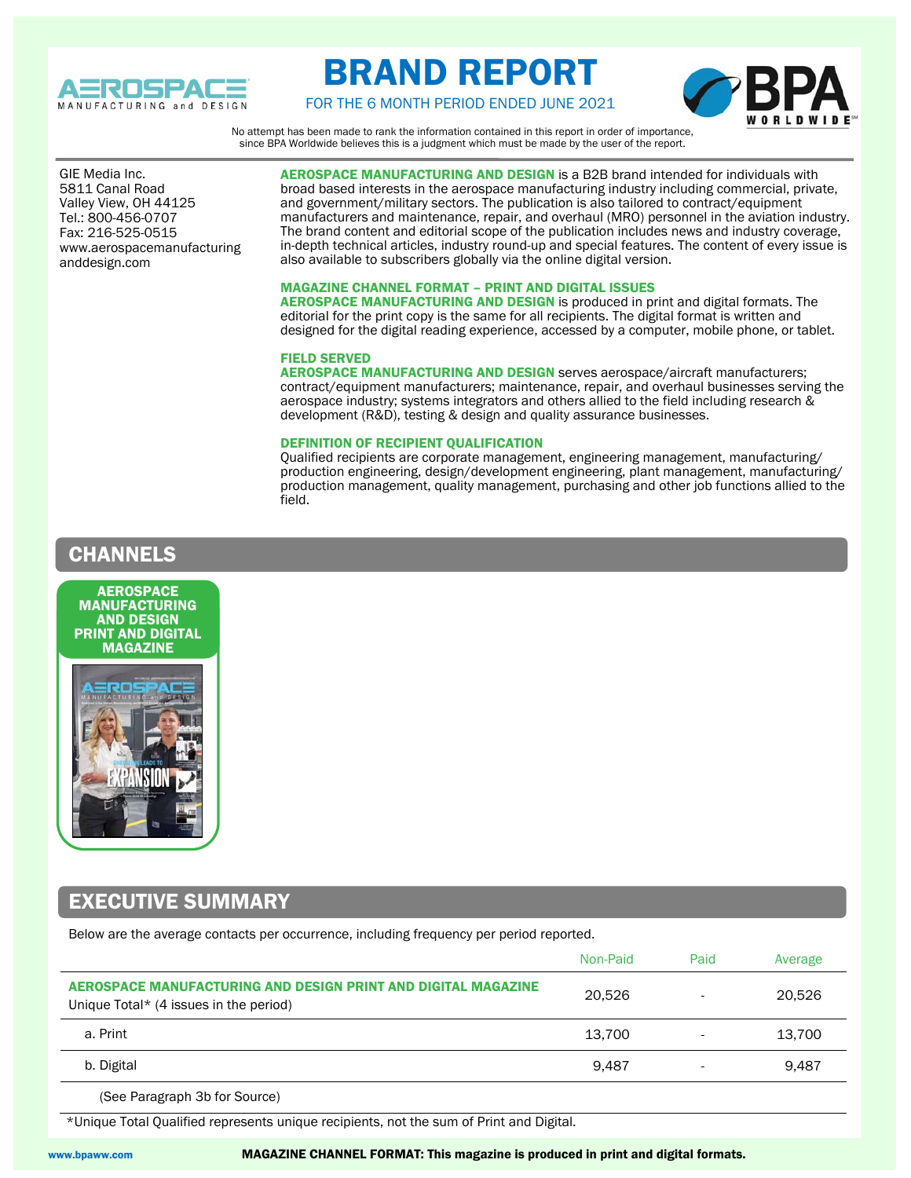

# BRAND REPORT



FOR THE 6 MONTH PERIOD ENDED JUNE 2021

No attempt has been made to rank the information contained in this report in order of importance, since BPA Worldwide believes this is a judgment which must be made by the user of the report.

 Valley View, OH 44125 GIE Media Inc. 5811 Canal Road Tel.: 800-456-0707 Fax: 216-525-0515 www.aerospacemanufacturing anddesign.com

AEROSPACE MANUFACTURING AND DESIGN is a B2B brand intended for individuals with broad based interests in the aerospace manufacturing industry including commercial, private, and government/military sectors. The publication is also tailored to contract/equipment manufacturers and maintenance, repair, and overhaul (MRO) personnel in the aviation industry. The brand content and editorial scope of the publication includes news and industry coverage, in-depth technical articles, industry round-up and special features. The content of every issue is also available to subscribers globally via the online digital version.

### MAGAZINE CHANNEL FORMAT – PRINT AND DIGITAL ISSUES

AEROSPACE MANUFACTURING AND DESIGN is produced in print and digital formats. The editorial for the print copy is the same for all recipients. The digital format is written and designed for the digital reading experience, accessed by a computer, mobile phone, or tablet.

#### FIELD SERVED

AEROSPACE MANUFACTURING AND DESIGN serves aerospace/aircraft manufacturers; contract/equipment manufacturers; maintenance, repair, and overhaul businesses serving the aerospace industry; systems integrators and others allied to the field including research & development (R&D), testing & design and quality assurance businesses.

#### DEFINITION OF RECIPIENT QUALIFICATION

Qualified recipients are corporate management, engineering management, manufacturing/ production engineering, design/development engineering, plant management, manufacturing/ production management, quality management, purchasing and other job functions allied to the field.

### CHANNELS





### EXECUTIVE SUMMARY

Below are the average contacts per occurrence, including frequency per period reported.

|                                                                                                         | Non-Paid | Paid | Average |
|---------------------------------------------------------------------------------------------------------|----------|------|---------|
| AEROSPACE MANUFACTURING AND DESIGN PRINT AND DIGITAL MAGAZINE<br>Unique Total* (4 issues in the period) | 20.526   |      | 20.526  |
| a. Print                                                                                                | 13.700   |      | 13,700  |
| b. Digital                                                                                              | 9.487    |      | 9.487   |
|                                                                                                         |          |      |         |

(See Paragraph 3b for Source)

\*Unique Total Qualified represents unique recipients, not the sum of Print and Digital.

www.bpaww.com MAGAZINE CHANNEL FORMAT: This magazine is produced in print and digital formats.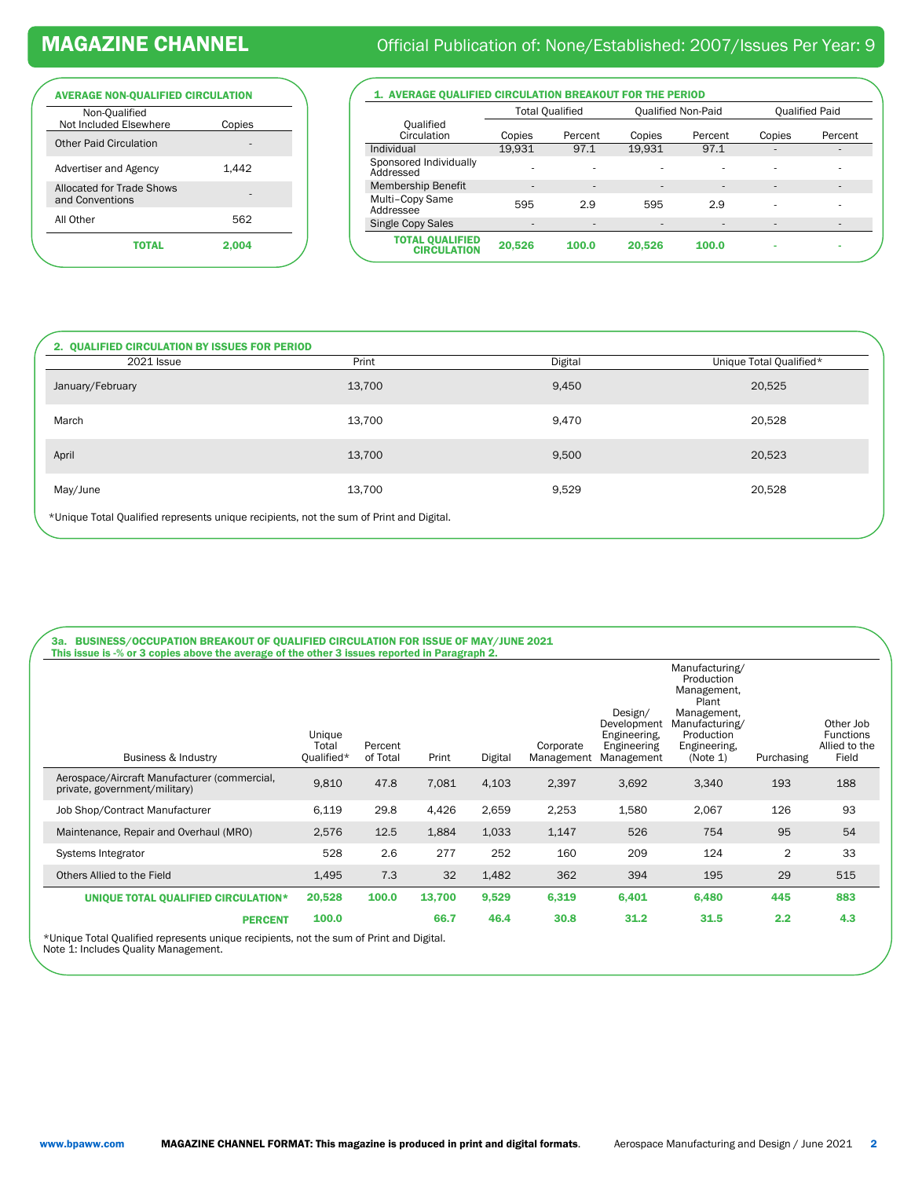| <b>AVERAGE NON-QUALIFIED CIRCULATION</b>     |        |  |  |  |  |  |  |
|----------------------------------------------|--------|--|--|--|--|--|--|
| Non-Oualified<br>Not Included Elsewhere      | Copies |  |  |  |  |  |  |
| <b>Other Paid Circulation</b>                |        |  |  |  |  |  |  |
| Advertiser and Agency                        | 1.442  |  |  |  |  |  |  |
| Allocated for Trade Shows<br>and Conventions |        |  |  |  |  |  |  |
| All Other                                    | 562    |  |  |  |  |  |  |
| ΤΩΤΑΙ                                        | 2.004  |  |  |  |  |  |  |
|                                              |        |  |  |  |  |  |  |

## MAGAZINE CHANNEL **Official Publication of: None/Established: 2007/Issues Per Year: 9**

1. AVERAGE QUALIFIED CIRCULATION BREAKOUT FOR THE PERIOD

|                                              | <b>Total Qualified</b>   |                          | <b>Qualified Non-Paid</b> |                          | <b>Qualified Paid</b>    |                          |
|----------------------------------------------|--------------------------|--------------------------|---------------------------|--------------------------|--------------------------|--------------------------|
| Oualified<br>Circulation                     | Copies                   | Percent                  | Copies                    | Percent                  | Copies                   | Percent                  |
| Individual                                   | 19.931                   | 97.1                     | 19.931                    | 97.1                     | $\overline{a}$           | $\overline{\phantom{a}}$ |
| Sponsored Individually<br>Addressed          | ٠                        | ۰                        | ۰                         |                          | ۰                        | ۰                        |
| <b>Membership Benefit</b>                    | $\overline{\phantom{a}}$ | $\overline{\phantom{a}}$ | $\overline{\phantom{a}}$  | $\overline{\phantom{a}}$ |                          | ۰                        |
| Multi-Copy Same<br>Addressee                 | 595                      | 2.9                      | 595                       | 2.9                      |                          | ۰                        |
| Single Copy Sales                            | ۰                        | $\overline{\phantom{a}}$ | $\overline{\phantom{a}}$  |                          | $\overline{\phantom{a}}$ | $\overline{\phantom{a}}$ |
| <b>TOTAL QUALIFIED</b><br><b>CIRCULATION</b> | 20,526                   | 100.0                    | 20.526                    | 100.0                    | ۰                        | ۰                        |

| <b>2021 Issue</b> | Print  | Digital | Unique Total Qualified* |
|-------------------|--------|---------|-------------------------|
| January/February  | 13,700 | 9,450   | 20,525                  |
| March             | 13,700 | 9,470   | 20,528                  |
| April             | 13,700 | 9,500   | 20,523                  |
| May/June          | 13,700 | 9,529   | 20,528                  |

| Business & Industry                                                           | Unique<br>Total<br>Qualified* | Percent<br>of Total | Print  | Digital | Corporate<br>Management | Design/<br>Development<br>Engineering,<br>Engineering<br>Management | Manufacturing/<br>Production<br>Management.<br>Plant<br>Management.<br>Manufacturing/<br>Production<br>Engineering,<br>(Note 1) | Purchasing     | Other Job<br><b>Functions</b><br>Allied to the<br>Field |
|-------------------------------------------------------------------------------|-------------------------------|---------------------|--------|---------|-------------------------|---------------------------------------------------------------------|---------------------------------------------------------------------------------------------------------------------------------|----------------|---------------------------------------------------------|
| Aerospace/Aircraft Manufacturer (commercial,<br>private, government/military) | 9,810                         | 47.8                | 7,081  | 4,103   | 2,397                   | 3,692                                                               | 3,340                                                                                                                           | 193            | 188                                                     |
| Job Shop/Contract Manufacturer                                                | 6,119                         | 29.8                | 4,426  | 2,659   | 2,253                   | 1,580                                                               | 2,067                                                                                                                           | 126            | 93                                                      |
| Maintenance, Repair and Overhaul (MRO)                                        | 2,576                         | 12.5                | 1,884  | 1,033   | 1,147                   | 526                                                                 | 754                                                                                                                             | 95             | 54                                                      |
| Systems Integrator                                                            | 528                           | 2.6                 | 277    | 252     | 160                     | 209                                                                 | 124                                                                                                                             | $\overline{2}$ | 33                                                      |
| Others Allied to the Field                                                    | 1,495                         | 7.3                 | 32     | 1,482   | 362                     | 394                                                                 | 195                                                                                                                             | 29             | 515                                                     |
| UNIQUE TOTAL QUALIFIED CIRCULATION*                                           | 20,528                        | 100.0               | 13,700 | 9,529   | 6,319                   | 6,401                                                               | 6,480                                                                                                                           | 445            | 883                                                     |
| <b>PERCENT</b>                                                                | 100.0                         |                     | 66.7   | 46.4    | 30.8                    | 31.2                                                                | 31.5                                                                                                                            | 2.2            | 4.3                                                     |

\*Unique Total Qualified represents unique recipients, not the sum of Print and Digital. Note 1: Includes Quality Management.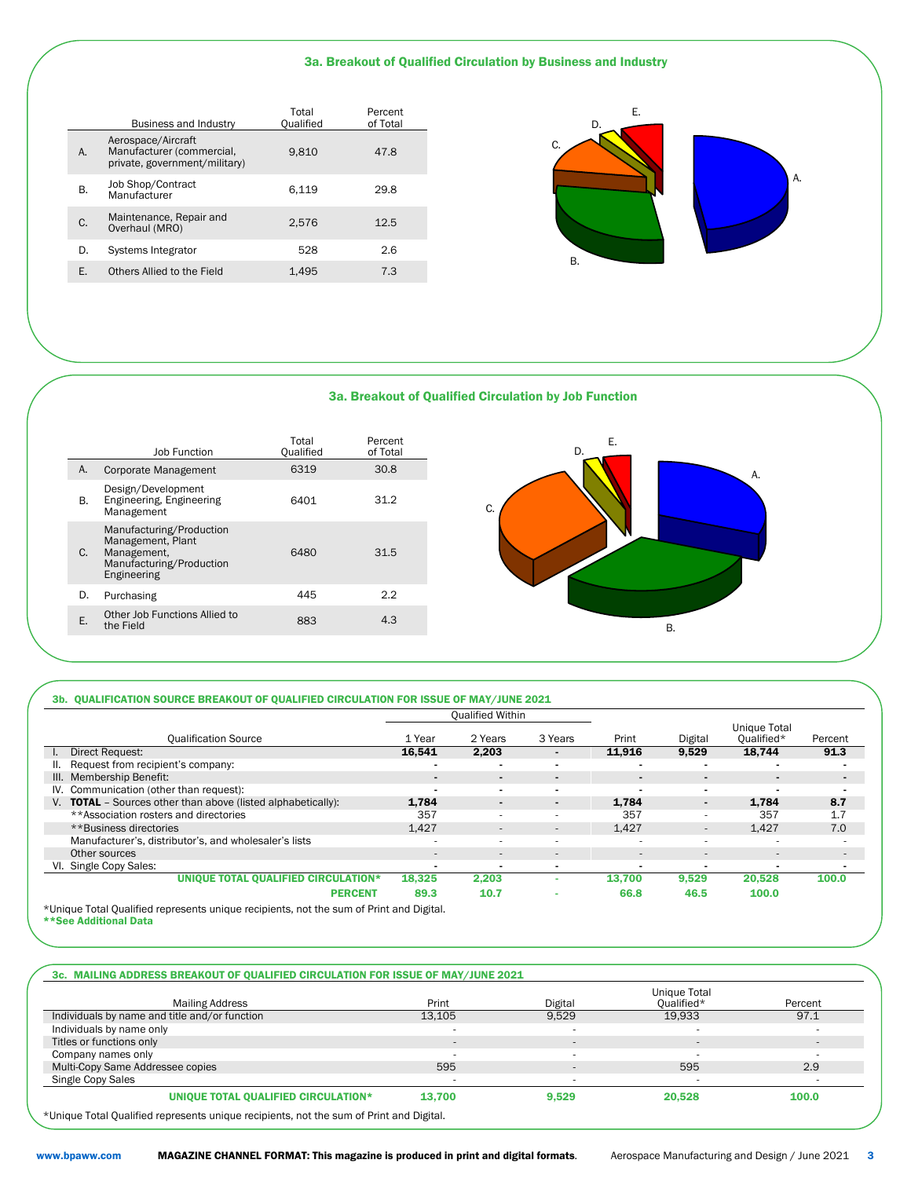#### 3a. Breakout of Qualified Circulation by Business and Industry

|    | <b>Business and Industry</b>                                                     | Total<br>Qualified | Percent<br>of Total |
|----|----------------------------------------------------------------------------------|--------------------|---------------------|
| А. | Aerospace/Aircraft<br>Manufacturer (commercial,<br>private, government/military) | 9.810              | 47.8                |
| В. | Job Shop/Contract<br>Manufacturer                                                | 6.119              | 29.8                |
| C. | Maintenance, Repair and<br>Overhaul (MRO)                                        | 2.576              | 12.5                |
| D. | Systems Integrator                                                               | 528                | 2.6                 |
|    | Others Allied to the Field                                                       | 1.495              | 7.3                 |



A.

A.

#### 3a. Breakout of Qualified Circulation by Job Function



#### 3b. QUALIFICATION SOURCE BREAKOUT OF QUALIFIED CIRCULATION FOR ISSUE OF MAY/JUNE 2021

|                                                                                         |                          | <b>Qualified Within</b>  |                          |                          |         |                                   |                          |
|-----------------------------------------------------------------------------------------|--------------------------|--------------------------|--------------------------|--------------------------|---------|-----------------------------------|--------------------------|
| <b>Qualification Source</b>                                                             | 1 Year                   | 2 Years                  | 3 Years                  | Print                    | Digital | <b>Unique Total</b><br>Oualified* | Percent                  |
| Direct Request:<br>L.                                                                   | 16.541                   | 2.203                    | $\blacksquare$           | 11.916                   | 9,529   | 18.744                            | 91.3                     |
| Request from recipient's company:<br>Ш.                                                 |                          | $\overline{\phantom{0}}$ | $\blacksquare$           |                          |         | $\blacksquare$                    |                          |
| III. Membership Benefit:                                                                | $\blacksquare$           | $\blacksquare$           | $\blacksquare$           |                          |         | $\blacksquare$                    | $\blacksquare$           |
| IV. Communication (other than request):                                                 | $\blacksquare$           | $\blacksquare$           | $\blacksquare$           |                          |         | $\sim$                            | $\overline{\phantom{0}}$ |
| V. <b>TOTAL</b> - Sources other than above (listed alphabetically):                     | 1,784                    | $\blacksquare$           | $\blacksquare$           | 1.784                    | $\sim$  | 1,784                             | 8.7                      |
| **Association rosters and directories                                                   | 357                      | $\sim$                   | $\sim$                   | 357                      | ۰.      | 357                               | 1.7                      |
| **Business directories                                                                  | 1.427                    | $\overline{a}$           | $\qquad \qquad -$        | 1,427                    | $\sim$  | 1.427                             | 7.0                      |
| Manufacturer's, distributor's, and wholesaler's lists                                   | ۰                        | $\sim$                   | $\sim$                   |                          | ۰.      | $\sim$                            |                          |
| Other sources                                                                           | $\overline{a}$           | $\overline{a}$           | $\overline{\phantom{a}}$ | $\overline{\phantom{a}}$ |         | $\qquad \qquad -$                 | $\sim$                   |
| VI. Single Copy Sales:                                                                  | $\overline{\phantom{0}}$ | $\overline{\phantom{0}}$ | $\blacksquare$           |                          |         | $\overline{\phantom{0}}$          |                          |
| UNIQUE TOTAL QUALIFIED CIRCULATION*                                                     | 18.325                   | 2.203                    | ۰                        | 13.700                   | 9.529   | 20.528                            | 100.0                    |
| <b>PERCENT</b>                                                                          | 89.3                     | 10.7                     | $\blacksquare$           | 66.8                     | 46.5    | 100.0                             |                          |
| I Injourn Total Qualified represents unique recipients not the sum of Print and Digital |                          |                          |                          |                          |         |                                   |                          |

Tified represents unique recipients, not the sum of Print and Digital. \*Unique Total Qualified<br>\*\*See Additional Data

#### 3c. MAILING ADDRESS BREAKOUT OF QUALIFIED CIRCULATION FOR ISSUE OF MAY/JUNE 2021

|                                               |                |         | Unique Total |                |
|-----------------------------------------------|----------------|---------|--------------|----------------|
| <b>Mailing Address</b>                        | Print          | Digital | Qualified*   | Percent        |
| Individuals by name and title and/or function | 13.105         | 9.529   | 19.933       | 97.1           |
| Individuals by name only                      |                |         |              |                |
| Titles or functions only                      | $\overline{a}$ |         |              | $\overline{a}$ |
| Company names only                            |                |         |              | . .            |
| Multi-Copy Same Addressee copies              | 595            |         | 595          | 2.9            |
| Single Copy Sales                             |                |         |              |                |
| UNIQUE TOTAL QUALIFIED CIRCULATION*           | 13.700         | 9,529   | 20,528       | 100.0          |